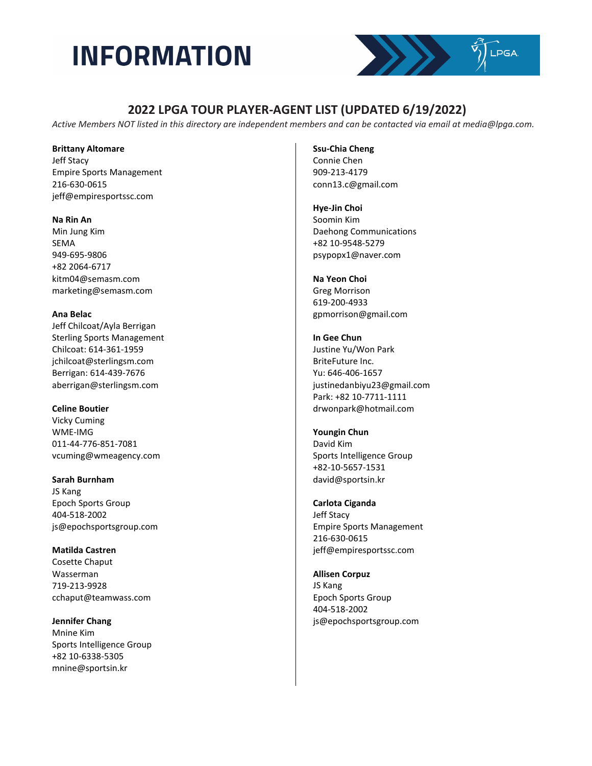

## **2022 LPGA TOUR PLAYER-AGENT LIST (UPDATED 6/19/2022)**

*Active Members NOT listed in this directory are independent members and can be contacted via email at media@lpga.com.*

**Brittany Altomare** 

Jeff Stacy Empire Sports Management 216-630-0615 jeff@empiresportssc.com

**Na Rin An** 

Min Jung Kim SEMA 949-695-9806 +82 2064-6717 kitm04@semasm.com marketing@semasm.com

**Ana Belac**  Jeff Chilcoat/Ayla Berrigan Sterling Sports Management

Chilcoat: 614-361-1959 jchilcoat@sterlingsm.com Berrigan: 614-439-7676 aberrigan@sterlingsm.com

**Celine Boutier** Vicky Cuming WME-IMG 011-44-776-851-7081 vcuming@wmeagency.com

**Sarah Burnham**  JS Kang Epoch Sports Group 404-518-2002 js@epochsportsgroup.com

**Matilda Castren** Cosette Chaput Wasserman 719-213-9928 cchaput@teamwass.com

**Jennifer Chang** Mnine Kim Sports Intelligence Group +82 10-6338-5305 mnine@sportsin.kr

**Ssu-Chia Cheng**

Connie Chen 909-213-4179 conn13.c@gmail.com

**Hye-Jin Choi** Soomin Kim Daehong Communications +82 10-9548-5279 psypopx1@naver.com

**Na Yeon Choi**  Greg Morrison 619-200-4933 gpmorrison@gmail.com

**In Gee Chun**  Justine Yu/Won Park BriteFuture Inc. Yu: 646-406-1657 justinedanbiyu23@gmail.com Park: +82 10-7711-1111 drwonpark@hotmail.com

**Youngin Chun** David Kim Sports Intelligence Group +82-10-5657-1531 david@sportsin.kr

**Carlota Ciganda**  Jeff Stacy Empire Sports Management 216-630-0615 jeff@empiresportssc.com

**Allisen Corpuz**  JS Kang Epoch Sports Group 404-518-2002 js@epochsportsgroup.com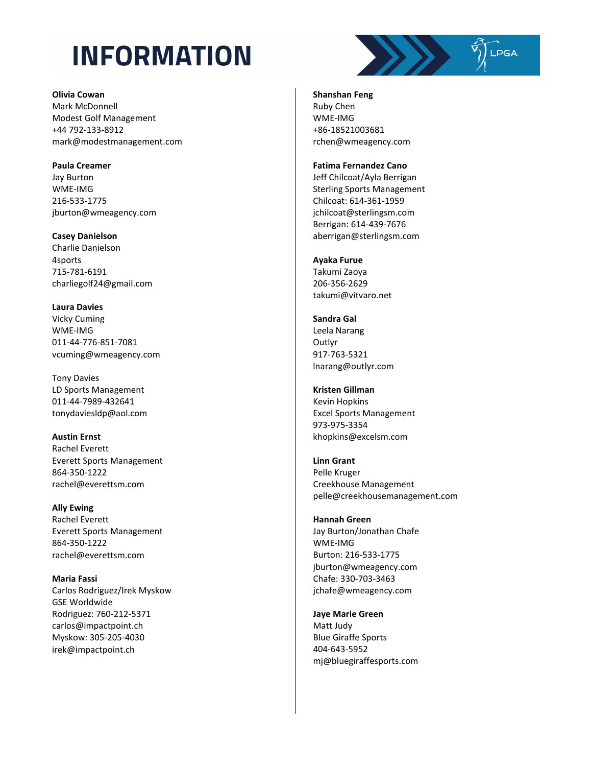**Olivia Cowan** Mark McDonnell Modest Golf Management +44 792-133-8912 mark@modestmanagement.com

**Paula Creamer** Jay Burton WME-IMG 216-533-1775 jburton@wmeagency.com

**Casey Danielson** Charlie Danielson 4sports 715-781-6191 charliegolf24@gmail.com

**Laura Davies**  Vicky Cuming WME-IMG 011-44-776-851-7081 vcuming@wmeagency.com

Tony Davies LD Sports Management 011-44-7989-432641 tonydaviesldp@aol.com

**Austin Ernst**  Rachel Everett Everett Sports Management 864-350-1222 rachel@everettsm.com

**Ally Ewing**  Rachel Everett Everett Sports Management 864-350-1222 rachel@everettsm.com

**Maria Fassi** Carlos Rodriguez/Irek Myskow GSE Worldwide Rodriguez: 760-212-5371 carlos@impactpoint.ch Myskow: 305-205-4030 irek@impactpoint.ch

SALES STEPSA **Shanshan Feng**  Ruby Chen

WME-IMG +86-18521003681 rchen@wmeagency.com

#### **Fatima Fernandez Cano**

Jeff Chilcoat/Ayla Berrigan Sterling Sports Management Chilcoat: 614-361-1959 jchilcoat@sterlingsm.com Berrigan: 614-439-7676 aberrigan@sterlingsm.com

### **Ayaka Furue**

Takumi Zaoya 206-356-2629 takumi@vitvaro.net

**Sandra Gal** Leela Narang Outlyr 917-763-5321 lnarang@outlyr.com

**Kristen Gillman** Kevin Hopkins Excel Sports Management 973-975-3354 khopkins@excelsm.com

**Linn Grant** Pelle Kruger Creekhouse Management pelle@creekhousemanagement.com

**Hannah Green** Jay Burton/Jonathan Chafe WME-IMG Burton: 216-533-1775 jburton@wmeagency.com Chafe: 330-703-3463 jchafe@wmeagency.com

**Jaye Marie Green** Matt Judy Blue Giraffe Sports 404-643-5952 mj@bluegiraffesports.com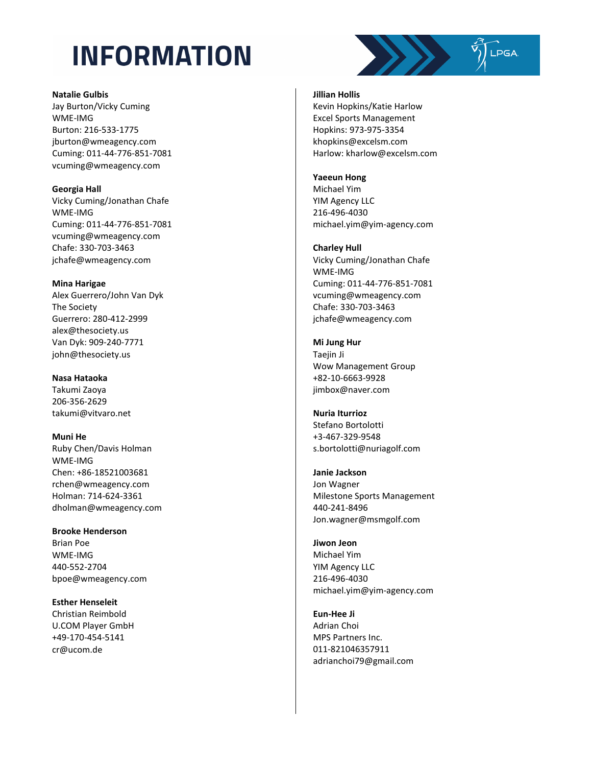

#### **Natalie Gulbis**

Jay Burton/Vicky Cuming WME-IMG Burton: 216 -533 -1775 jburton@wmeagency.com Cuming: 011 -44 -776 -851 -7081 vcuming@wmeagency.com

### **Georgia Hall**

Vicky Cuming/Jonathan Chafe WME-IMG Cuming: 011 -44 -776 -851 -7081 vcuming@wmeagency.com Chafe: 330 -703 -3463 jchafe@wmeagency.com

### **Mina Harigae**

Alex Guerrero/John Van Dyk The Society Guerrero: 280 -412 -2999 alex@thesociety.us Van Dyk: 909 -240 -7771 john@thesociety.us

### **Nasa Hataoka**

Takumi Zaoya 206 -356 -2629 takumi@vitvaro.net

**Muni He**  Ruby Chen/Davis Holman WME-IMG Chen: +86 -18521003681 rchen@wmeagency.com Holman: 714 -624 -3361 dholman@wmeagency.com

**Brooke Henderson**  Brian Poe WME-IMG 440 -552 -2704 bpoe@wmeagency.com

**Esther Henseleit**  Christian Reimbold U.COM Player GmbH +49 -170 -454 -5141 cr@ucom.de

### **Jillian Hollis**

Kevin Hopkins/Katie Harlow Excel Sports Management Hopkins: 973 -975 -3354 khopkins@excelsm.com Harlow: kharlow@excelsm.com

### **Yaeeun Hong**

Michael Yim YIM Agency LLC 216 -496 -4030 michael.yim@yim -agency.com

### **Charley Hull**

Vicky Cuming/Jonathan Chafe WME-IMG Cuming: 011 -44 -776 -851 -7081 vcuming@wmeagency.com Chafe: 330 -703 -3463 jchafe@wmeagency.com

### **Mi Jung Hur**

Taejin Ji Wow Management Group +82 -10 -6663 -9928 jimbox@naver.com

#### **Nuria Iturrioz** Stefano Bortolotti +3 -467 -329 -9548 s.bortolotti@nuriagolf.com

#### **Janie Jackson**

Jon Wagner Milestone Sports Management 440 -241 -8496 Jon.wagner@msmgolf.com

### **Jiwon Jeon** Michael Yim YIM Agency LLC 216 -496 -4030 michael.yim@yim -agency.com

**Eun -Hee Ji**  Adrian Choi MPS Partners Inc. 011 -821046357911 adrianchoi79@gmail.com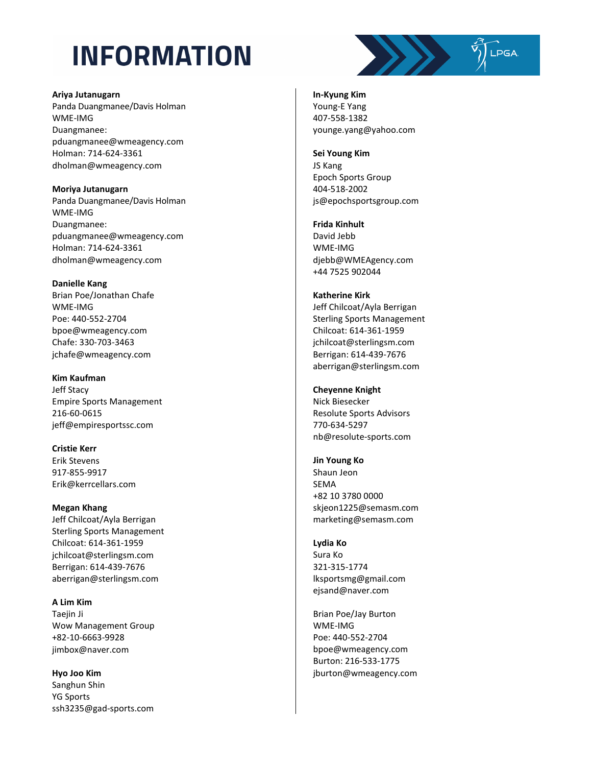

#### **Ariya Jutanugarn**

Panda Duangmanee/Davis Holman WME-IMG Duangmanee: pduangmanee@wmeagency.com Holman: 714 -624 -3361 dholman@wmeagency.com

**Moriya Jutanugarn**

Panda Duangmanee/Davis Holman WME-IMG Duangmanee: pduangmanee@wmeagency.com Holman: 714 -624 -3361 dholman@wmeagency.com

### **Danielle Kang**

Brian Poe/Jonathan Chafe WME-IMG Poe: 440 -552 -2704 bpoe@wmeagency.com Chafe: 330 -703 -3463 jchafe@wmeagency.com

### **Kim Kaufman**

Jeff Stacy Empire Sports Management 216 -60 -0615 jeff@empiresportssc.com

## **Cristie Kerr**

Erik Stevens 917 -855 -9917 Erik@kerrcellars.com

### **Megan Khang**

Jeff Chilcoat/Ayla Berrigan Sterling Sports Management Chilcoat: 614 -361 -1959 jchilcoat@sterlingsm.com Berrigan: 614 -439 -7676 aberrigan@sterlingsm.com

## **A Lim Kim**

Taejin Ji Wow Management Group +82 -10 -6663 -9928 jimbox@naver.com

### **Hyo Joo Kim**

Sanghun Shin YG Sports ssh3235@gad -sports.com

**In -Kyung Kim**  Young -E Yang 407 -558 -1382 younge.yang@yahoo.com

### **Sei Young Kim**  JS Kang Epoch Sports Group 404 -518 -2002 js@epochsportsgroup.com

## **Frida Kinhult**

David Jebb WME-IMG djebb@WMEAgency.com +44 7525 902044

### **Katherine Kirk**

Jeff Chilcoat/Ayla Berrigan Sterling Sports Management Chilcoat: 614 -361 -1959 jchilcoat@sterlingsm.com Berrigan: 614 -439 -7676 aberrigan@sterlingsm.com

### **Cheyenne Knight**

Nick Biesecker Resolute Sports Advisors 770 -634 -5297 nb@resolute - sports.com

### **Jin Young Ko**

Shaun Jeon SEMA +82 10 3780 0000 skjeon1225@semasm.com marketing@semasm.com

### **Lydia Ko**  Sura Ko 321 -315 -1774 lksportsmg@gmail.com ejsand@naver.com

Brian Poe/Jay Burton WME-IMG Poe: 440 -552 -2704 bpoe@wmeagency.com Burton: 216 -533 -1775 jburton@wmeagency.com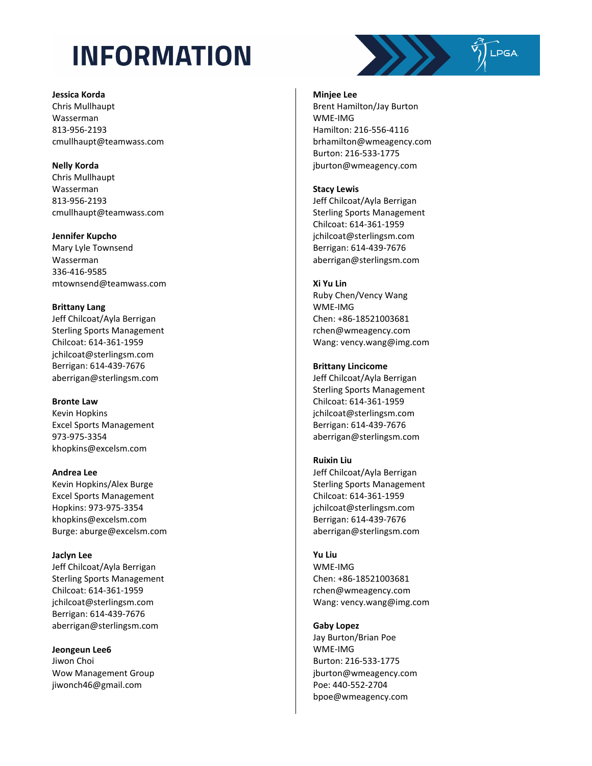#### **Jessica Korda**

Chris Mullhaupt Wasserman 813 -956 -2193 cmullhaupt@teamwass.com

### **Nelly Korda**

Chris Mullhaupt Wasserman 813 -956 -2193 cmullhaupt@teamwass.com

### **Jennifer Kupcho**

Mary Lyle Townsend Wasserman 336 -416 -9585 mtownsend@teamwass.com

### **Brittany Lang**

Jeff Chilcoat/Ayla Berrigan Sterling Sports Management Chilcoat: 614 -361 -1959 jchilcoat@sterlingsm.com Berrigan: 614 -439 -7676 aberrigan@sterlingsm.com

## **Bronte Law**

Kevin Hopkins Excel Sports Management 973 -975 -3354 khopkins@excelsm.com

### **Andrea Lee**

Kevin Hopkins/Alex Burge Excel Sports Management Hopkins: 973 -975 -3354 khopkins@excelsm.com Burge: aburge@excelsm.com

## **Jaclyn Lee**

Jeff Chilcoat/Ayla Berrigan Sterling Sports Management Chilcoat: 614 -361 -1959 jchilcoat@sterlingsm.com Berrigan: 614 -439 -7676 aberrigan@sterlingsm.com

## **Jeongeun Lee6**

Jiwon Choi Wow Management Group jiwonch46@gmail.com

### **Minjee Lee**

Brent Hamilton/Jay Burton WME-IMG Hamilton: 216 -556 -4116 brhamilton@wmeagency.com Burton: 216 -533 -1775 jburton@wmeagency.com

 $\sqrt{\frac{1}{2}}$ LPGA

### **Stacy Lewis**

Jeff Chilcoat/Ayla Berrigan Sterling Sports Management Chilcoat: 614 -361 -1959 jchilcoat@sterlingsm.com Berrigan: 614 -439 -7676 aberrigan@sterlingsm.com

### **Xi Yu Lin**

Ruby Chen/Vency Wang WME-IMG Chen: +86 -18521003681 rchen@wmeagency.com Wang: vency.wang@img.com

### **Brittany Lincicome**

Jeff Chilcoat/Ayla Berrigan Sterling Sports Management Chilcoat: 614 -361 -1959 jchilcoat@sterlingsm.com Berrigan: 614 -439 -7676 aberrigan@sterlingsm.com

### **Ruixin Liu**

Jeff Chilcoat/Ayla Berrigan Sterling Sports Management Chilcoat: 614 -361 -1959 jchilcoat@sterlingsm.com Berrigan: 614 -439 -7676 aberrigan@sterlingsm.com

### **Yu Liu**

WME-IMG Chen: +86 -18521003681 rchen@wmeagency.com Wang: vency.wang@img.com

### **Gaby Lopez**

Jay Burton/Brian Poe WME-IMG Burton: 216 -533 -1775 jburton@wmeagency.com Poe: 440 -552 -2704 bpoe@wmeagency.com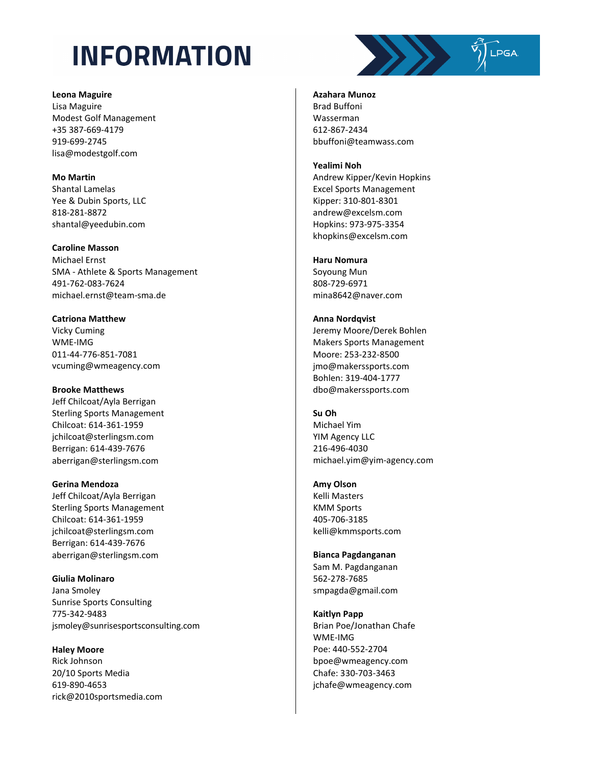**Leona Maguire**

Lisa Maguire Modest Golf Management +35 387-669-4179 919-699-2745 lisa@modestgolf.com

**Mo Martin**  Shantal Lamelas Yee & Dubin Sports, LLC 818-281-8872 shantal@yeedubin.com

**Caroline Masson**  Michael Ernst SMA - Athlete & Sports Management 491-762-083-7624 michael.ernst@team-sma.de

**Catriona Matthew**  Vicky Cuming WME-IMG 011-44-776-851-7081 vcuming@wmeagency.com

**Brooke Matthews**  Jeff Chilcoat/Ayla Berrigan Sterling Sports Management Chilcoat: 614-361-1959 jchilcoat@sterlingsm.com Berrigan: 614-439-7676 aberrigan@sterlingsm.com

**Gerina Mendoza**  Jeff Chilcoat/Ayla Berrigan Sterling Sports Management Chilcoat: 614-361-1959 jchilcoat@sterlingsm.com Berrigan: 614-439-7676 aberrigan@sterlingsm.com

**Giulia Molinaro** Jana Smoley Sunrise Sports Consulting 775-342-9483 jsmoley@sunrisesportsconsulting.com

**Haley Moore** Rick Johnson 20/10 Sports Media 619-890-4653 rick@2010sportsmedia.com

**Azahara Munoz**  Brad Buffoni Wasserman

612-867-2434 bbuffoni@teamwass.com

### **Yealimi Noh**

Andrew Kipper/Kevin Hopkins Excel Sports Management Kipper: 310-801-8301 andrew@excelsm.com Hopkins: 973-975-3354 khopkins@excelsm.com

### **Haru Nomura**

Soyoung Mun 808-729-6971 mina8642@naver.com

**Anna Nordqvist**  Jeremy Moore/Derek Bohlen Makers Sports Management Moore: 253-232-8500 jmo@makerssports.com Bohlen: 319-404-1777 dbo@makerssports.com

**Su Oh**  Michael Yim YIM Agency LLC 216-496-4030 michael.yim@yim-agency.com

**Amy Olson**  Kelli Masters KMM Sports 405-706-3185 kelli@kmmsports.com

**Bianca Pagdanganan** Sam M. Pagdanganan 562-278-7685 smpagda@gmail.com

**Kaitlyn Papp**  Brian Poe/Jonathan Chafe WME-IMG Poe: 440-552-2704 bpoe@wmeagency.com Chafe: 330-703-3463 jchafe@wmeagency.com

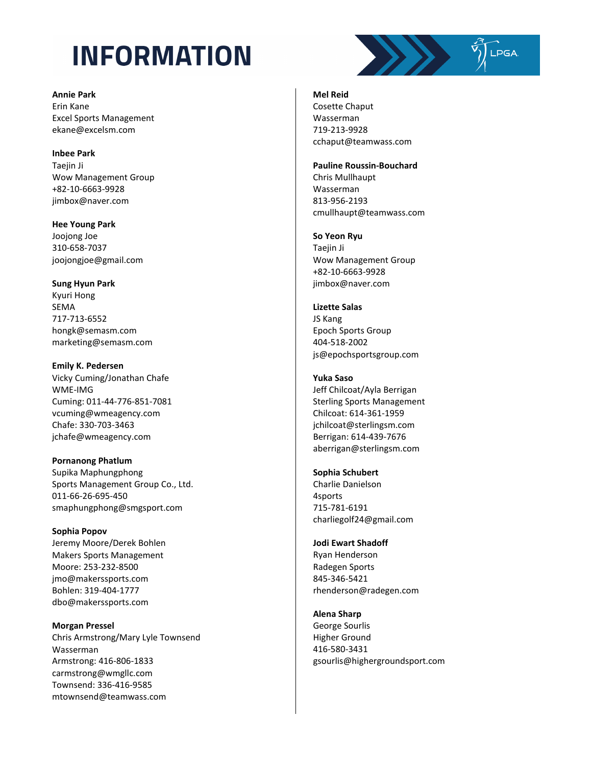**Annie Park**  Erin Kane Excel Sports Management ekane@excelsm.com

**Inbee Park**  Taejin Ji Wow Management Group +82-10-6663-9928 jimbox@naver.com

**Hee Young Park**  Joojong Joe 310-658-7037 joojongjoe@gmail.com

**Sung Hyun Park**  Kyuri Hong SEMA 717-713-6552 hongk@semasm.com marketing@semasm.com

**Emily K. Pedersen**  Vicky Cuming/Jonathan Chafe WME-IMG Cuming: 011-44-776-851-7081 vcuming@wmeagency.com Chafe: 330-703-3463 jchafe@wmeagency.com

**Pornanong Phatlum**  Supika Maphungphong Sports Management Group Co., Ltd. 011-66-26-695-450 smaphungphong@smgsport.com

**Sophia Popov** Jeremy Moore/Derek Bohlen Makers Sports Management Moore: 253-232-8500 jmo@makerssports.com Bohlen: 319-404-1777 dbo@makerssports.com

**Morgan Pressel**  Chris Armstrong/Mary Lyle Townsend Wasserman Armstrong: 416-806-1833 carmstrong@wmgllc.com Townsend: 336-416-9585 mtownsend@teamwass.com

### **Mel Reid**

Cosette Chaput Wasserman 719-213-9928 cchaput@teamwass.com

#### **Pauline Roussin-Bouchard**

Chris Mullhaupt Wasserman 813-956-2193 cmullhaupt@teamwass.com

**So Yeon Ryu** 

Taejin Ji Wow Management Group +82-10-6663-9928 jimbox@naver.com

**Lizette Salas** JS Kang Epoch Sports Group 404-518-2002 js@epochsportsgroup.com

#### **Yuka Saso**

Jeff Chilcoat/Ayla Berrigan Sterling Sports Management Chilcoat: 614-361-1959 jchilcoat@sterlingsm.com Berrigan: 614-439-7676 aberrigan@sterlingsm.com

### **Sophia Schubert**

Charlie Danielson 4sports 715-781-6191 charliegolf24@gmail.com

#### **Jodi Ewart Shadoff**

Ryan Henderson Radegen Sports 845-346-5421 rhenderson@radegen.com

**Alena Sharp** 

George Sourlis Higher Ground 416-580-3431 gsourlis@highergroundsport.com

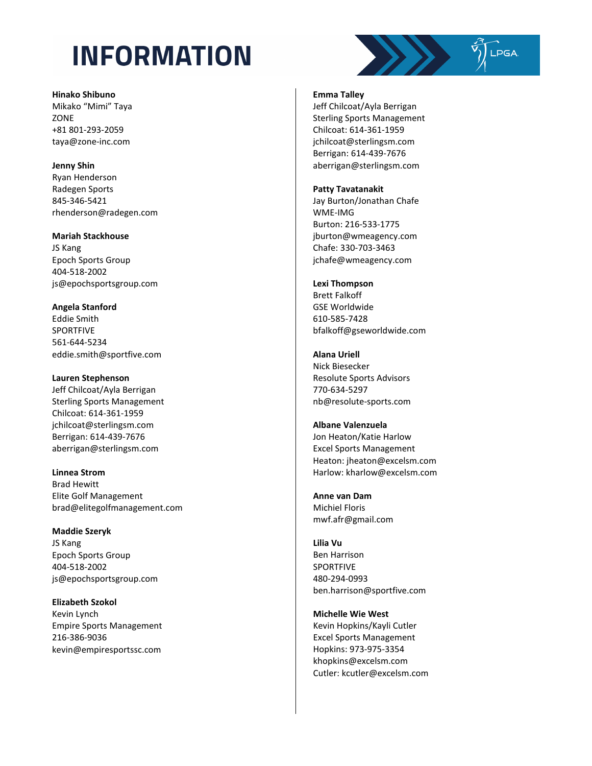**Hinako Shibuno** Mikako "Mimi" Taya **ZONE** +81 801 -293 -2059 taya@zone -inc.com

**Jenny Shin** Ryan Henderson Radegen Sports 845 -346 -5421 rhenderson@radegen.com

**Mariah Stackhouse**  JS Kang Epoch Sports Group 404 -518 -2002 js@epochsportsgroup.com

**Angela Stanford** Eddie Smith SPORTFIVE 561 -644 -5234 eddie.smith@sportfive.com

**Lauren Stephenson**  Jeff Chilcoat/Ayla Berrigan Sterling Sports Management Chilcoat: 614 -361 -1959 jchilcoat@sterlingsm.com Berrigan: 614 -439 -7676 aberrigan@sterlingsm.com

**Linnea Strom**  Brad Hewitt Elite Golf Management brad@elitegolfmanagement.com

**Maddie Szeryk**  JS Kang Epoch Sports Group 404 -518 -2002 js@epochsportsgroup.com

**Elizabeth Szokol**  Kevin Lynch Empire Sports Management 216 -386 -9036 kevin@empiresportssc.com **Emma Talley** 

Jeff Chilcoat/Ayla Berrigan Sterling Sports Management Chilcoat: 614 -361 -1959 jchilcoat@sterlingsm.com Berrigan: 614 -439 -7676 aberrigan@sterlingsm.com

**Patty Tavatanakit** 

Jay Burton/Jonathan Chafe WME-IMG Burton: 216 -533 -1775 jburton@wmeagency.com Chafe: 330 -703 -3463 jchafe@wmeagency.com

**Lexi Thompson**  Brett Falkoff GSE Worldwide 610 -585 -7428 bfalkoff@gseworldwide.com

**Alana Uriell**  Nick Biesecker Resolute Sports Advisors 770 -634 -5297 nb@resolute -sports.com

**Albane Valenzuela** Jon Heaton/Katie Harlow Excel Sports Management Heaton: jheaton@excelsm.com Harlow: kharlow@excelsm.com

**Anne van Dam** Michiel Floris mwf.afr@gmail.com

**Lilia Vu** Ben Harrison SPORTFIVE 480 -294 -0993 ben.harrison@sportfive.com

**Michelle Wie West** Kevin Hopkins/Kayli Cutler Excel Sports Management Hopkins: 973 -975 -3354 khopkins@excelsm.com Cutler: kcutler@excelsm.com

 $\frac{1}{2}$   $\frac{1}{2}$   $\frac{1}{2}$   $\frac{1}{2}$   $\frac{1}{2}$   $\frac{1}{2}$   $\frac{1}{2}$   $\frac{1}{2}$   $\frac{1}{2}$   $\frac{1}{2}$   $\frac{1}{2}$   $\frac{1}{2}$   $\frac{1}{2}$   $\frac{1}{2}$   $\frac{1}{2}$   $\frac{1}{2}$   $\frac{1}{2}$   $\frac{1}{2}$   $\frac{1}{2}$   $\frac{1}{2}$   $\frac{1}{2}$   $\frac{1}{2}$